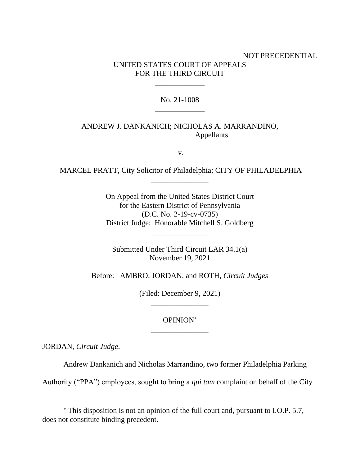# NOT PRECEDENTIAL UNITED STATES COURT OF APPEALS FOR THE THIRD CIRCUIT

## No. 21-1008 \_\_\_\_\_\_\_\_\_\_\_\_\_

\_\_\_\_\_\_\_\_\_\_\_\_\_

# ANDREW J. DANKANICH; NICHOLAS A. MARRANDINO, Appellants

v.

MARCEL PRATT, City Solicitor of Philadelphia; CITY OF PHILADELPHIA \_\_\_\_\_\_\_\_\_\_\_\_\_\_\_

> On Appeal from the United States District Court for the Eastern District of Pennsylvania (D.C. No. 2-19-cv-0735) District Judge: Honorable Mitchell S. Goldberg

> > \_\_\_\_\_\_\_\_\_\_\_\_\_\_\_

Submitted Under Third Circuit LAR 34.1(a) November 19, 2021

Before: AMBRO, JORDAN, and ROTH, *Circuit Judges*

(Filed: December 9, 2021) \_\_\_\_\_\_\_\_\_\_\_\_\_\_\_

# OPINION \_\_\_\_\_\_\_\_\_\_\_\_\_\_\_

JORDAN, *Circuit Judge*.

Andrew Dankanich and Nicholas Marrandino, two former Philadelphia Parking

Authority ("PPA") employees, sought to bring a *qui tam* complaint on behalf of the City

This disposition is not an opinion of the full court and, pursuant to I.O.P. 5.7, does not constitute binding precedent.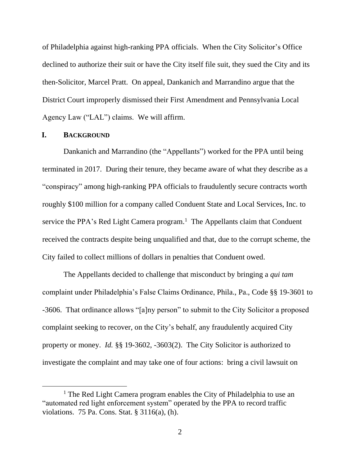of Philadelphia against high-ranking PPA officials. When the City Solicitor's Office declined to authorize their suit or have the City itself file suit, they sued the City and its then-Solicitor, Marcel Pratt. On appeal, Dankanich and Marrandino argue that the District Court improperly dismissed their First Amendment and Pennsylvania Local Agency Law ("LAL") claims. We will affirm.

#### **I. BACKGROUND**

Dankanich and Marrandino (the "Appellants") worked for the PPA until being terminated in 2017. During their tenure, they became aware of what they describe as a "conspiracy" among high-ranking PPA officials to fraudulently secure contracts worth roughly \$100 million for a company called Conduent State and Local Services, Inc. to service the PPA's Red Light Camera program.<sup>1</sup> The Appellants claim that Conduent received the contracts despite being unqualified and that, due to the corrupt scheme, the City failed to collect millions of dollars in penalties that Conduent owed.

The Appellants decided to challenge that misconduct by bringing a *qui tam* complaint under Philadelphia's False Claims Ordinance, Phila., Pa., Code §§ 19-3601 to -3606. That ordinance allows "[a]ny person" to submit to the City Solicitor a proposed complaint seeking to recover, on the City's behalf, any fraudulently acquired City property or money. *Id.* §§ 19-3602, -3603(2). The City Solicitor is authorized to investigate the complaint and may take one of four actions: bring a civil lawsuit on

<sup>&</sup>lt;sup>1</sup> The Red Light Camera program enables the City of Philadelphia to use an "automated red light enforcement system" operated by the PPA to record traffic violations. 75 Pa. Cons. Stat. § 3116(a), (h).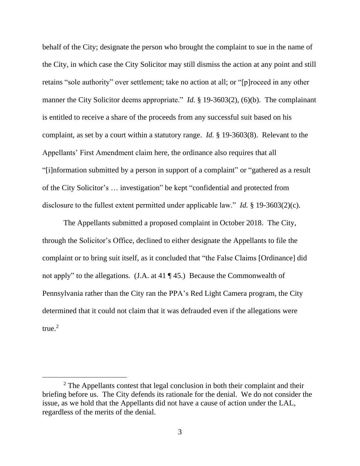behalf of the City; designate the person who brought the complaint to sue in the name of the City, in which case the City Solicitor may still dismiss the action at any point and still retains "sole authority" over settlement; take no action at all; or "[p]roceed in any other manner the City Solicitor deems appropriate." *Id.* § 19-3603(2), (6)(b). The complainant is entitled to receive a share of the proceeds from any successful suit based on his complaint, as set by a court within a statutory range. *Id.* § 19-3603(8). Relevant to the Appellants' First Amendment claim here, the ordinance also requires that all "[i]nformation submitted by a person in support of a complaint" or "gathered as a result of the City Solicitor's … investigation" be kept "confidential and protected from disclosure to the fullest extent permitted under applicable law." *Id.* § 19-3603(2)(c).

The Appellants submitted a proposed complaint in October 2018. The City, through the Solicitor's Office, declined to either designate the Appellants to file the complaint or to bring suit itself, as it concluded that "the False Claims [Ordinance] did not apply" to the allegations. (J.A. at 41 ¶ 45.) Because the Commonwealth of Pennsylvania rather than the City ran the PPA's Red Light Camera program, the City determined that it could not claim that it was defrauded even if the allegations were true. 2

 $2$  The Appellants contest that legal conclusion in both their complaint and their briefing before us. The City defends its rationale for the denial. We do not consider the issue, as we hold that the Appellants did not have a cause of action under the LAL, regardless of the merits of the denial.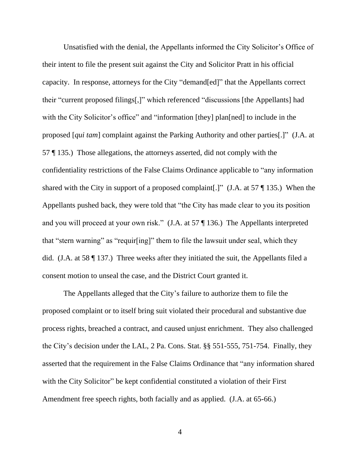Unsatisfied with the denial, the Appellants informed the City Solicitor's Office of their intent to file the present suit against the City and Solicitor Pratt in his official capacity. In response, attorneys for the City "demand[ed]" that the Appellants correct their "current proposed filings[,]" which referenced "discussions [the Appellants] had with the City Solicitor's office" and "information [they] plan[ned] to include in the proposed [*qui tam*] complaint against the Parking Authority and other parties[.]" (J.A. at 57 ¶ 135.) Those allegations, the attorneys asserted, did not comply with the confidentiality restrictions of the False Claims Ordinance applicable to "any information shared with the City in support of a proposed complaint[.]" (J.A. at 57 ¶ 135.) When the Appellants pushed back, they were told that "the City has made clear to you its position and you will proceed at your own risk." (J.A. at 57 ¶ 136.) The Appellants interpreted that "stern warning" as "requir[ing]" them to file the lawsuit under seal, which they did. (J.A. at 58 ¶ 137.) Three weeks after they initiated the suit, the Appellants filed a consent motion to unseal the case, and the District Court granted it.

The Appellants alleged that the City's failure to authorize them to file the proposed complaint or to itself bring suit violated their procedural and substantive due process rights, breached a contract, and caused unjust enrichment. They also challenged the City's decision under the LAL, 2 Pa. Cons. Stat. §§ 551-555, 751-754. Finally, they asserted that the requirement in the False Claims Ordinance that "any information shared with the City Solicitor" be kept confidential constituted a violation of their First Amendment free speech rights, both facially and as applied. (J.A. at 65-66.)

4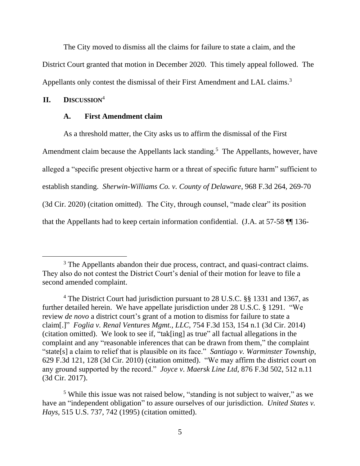The City moved to dismiss all the claims for failure to state a claim, and the District Court granted that motion in December 2020. This timely appeal followed. The Appellants only contest the dismissal of their First Amendment and LAL claims.<sup>3</sup>

### **II. DISCUSSION**<sup>4</sup>

### **A. First Amendment claim**

As a threshold matter, the City asks us to affirm the dismissal of the First Amendment claim because the Appellants lack standing.<sup>5</sup> The Appellants, however, have alleged a "specific present objective harm or a threat of specific future harm" sufficient to establish standing. *Sherwin-Williams Co. v. County of Delaware*, 968 F.3d 264, 269-70 (3d Cir. 2020) (citation omitted). The City, through counsel, "made clear" its position that the Appellants had to keep certain information confidential. (J.A. at 57-58 ¶¶ 136-

<sup>&</sup>lt;sup>3</sup> The Appellants abandon their due process, contract, and quasi-contract claims. They also do not contest the District Court's denial of their motion for leave to file a second amended complaint.

<sup>4</sup> The District Court had jurisdiction pursuant to 28 U.S.C. §§ 1331 and 1367, as further detailed herein. We have appellate jurisdiction under 28 U.S.C. § 1291. "We review *de novo* a district court's grant of a motion to dismiss for failure to state a claim[.]" *Foglia v. Renal Ventures Mgmt., LLC*, 754 F.3d 153, 154 n.1 (3d Cir. 2014) (citation omitted). We look to see if, "tak[ing] as true" all factual allegations in the complaint and any "reasonable inferences that can be drawn from them," the complaint "state[s] a claim to relief that is plausible on its face." *Santiago v. Warminster Township*, 629 F.3d 121, 128 (3d Cir. 2010) (citation omitted). "We may affirm the district court on any ground supported by the record." *Joyce v. Maersk Line Ltd*, 876 F.3d 502, 512 n.11 (3d Cir. 2017).

<sup>5</sup> While this issue was not raised below, "standing is not subject to waiver," as we have an "independent obligation" to assure ourselves of our jurisdiction. *United States v. Hays*, 515 U.S. 737, 742 (1995) (citation omitted).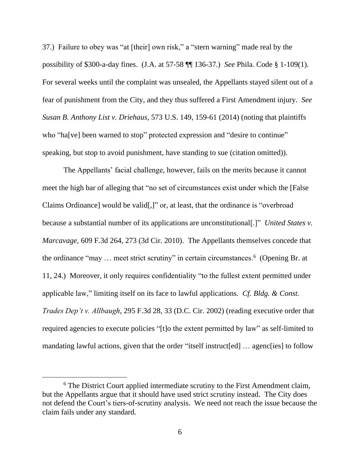37.) Failure to obey was "at [their] own risk," a "stern warning" made real by the possibility of \$300-a-day fines. (J.A. at 57-58 ¶¶ 136-37.) *See* Phila. Code § 1-109(1). For several weeks until the complaint was unsealed, the Appellants stayed silent out of a fear of punishment from the City, and they thus suffered a First Amendment injury. *See Susan B. Anthony List v. Driehaus*, 573 U.S. 149, 159-61 (2014) (noting that plaintiffs who "ha[ve] been warned to stop" protected expression and "desire to continue" speaking, but stop to avoid punishment, have standing to sue (citation omitted)).

The Appellants' facial challenge, however, fails on the merits because it cannot meet the high bar of alleging that "no set of circumstances exist under which the [False Claims Ordinance] would be valid[,]" or, at least, that the ordinance is "overbroad because a substantial number of its applications are unconstitutional[.]" *United States v. Marcavage*, 609 F.3d 264, 273 (3d Cir. 2010). The Appellants themselves concede that the ordinance "may ... meet strict scrutiny" in certain circumstances.<sup>6</sup> (Opening Br. at 11, 24.) Moreover, it only requires confidentiality "to the fullest extent permitted under applicable law," limiting itself on its face to lawful applications. *Cf. Bldg. & Const. Trades Dep't v. Allbaugh*, 295 F.3d 28, 33 (D.C. Cir. 2002) (reading executive order that required agencies to execute policies "[t]o the extent permitted by law" as self-limited to mandating lawful actions, given that the order "itself instruct [ed] ... agenc [ies] to follow

<sup>&</sup>lt;sup>6</sup> The District Court applied intermediate scrutiny to the First Amendment claim, but the Appellants argue that it should have used strict scrutiny instead.The City does not defend the Court's tiers-of-scrutiny analysis. We need not reach the issue because the claim fails under any standard.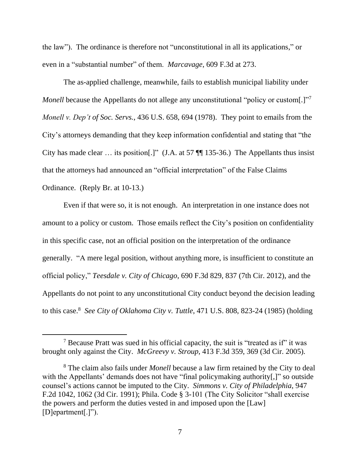the law"). The ordinance is therefore not "unconstitutional in all its applications," or even in a "substantial number" of them. *Marcavage*, 609 F.3d at 273.

The as-applied challenge, meanwhile, fails to establish municipal liability under *Monell* because the Appellants do not allege any unconstitutional "policy or custom[.]"<sup>7</sup> *Monell v. Dep't of Soc. Servs.*, 436 U.S. 658, 694 (1978). They point to emails from the City's attorneys demanding that they keep information confidential and stating that "the City has made clear … its position[.]" (J.A. at 57 ¶¶ 135-36.) The Appellants thus insist that the attorneys had announced an "official interpretation" of the False Claims Ordinance. (Reply Br. at 10-13.)

Even if that were so, it is not enough. An interpretation in one instance does not amount to a policy or custom. Those emails reflect the City's position on confidentiality in this specific case, not an official position on the interpretation of the ordinance generally. "A mere legal position, without anything more, is insufficient to constitute an official policy," *Teesdale v. City of Chicago*, 690 F.3d 829, 837 (7th Cir. 2012), and the Appellants do not point to any unconstitutional City conduct beyond the decision leading to this case.<sup>8</sup> *See City of Oklahoma City v. Tuttle*, 471 U.S. 808, 823-24 (1985) (holding

<sup>7</sup> Because Pratt was sued in his official capacity, the suit is "treated as if" it was brought only against the City. *McGreevy v. Stroup*, 413 F.3d 359, 369 (3d Cir. 2005).

<sup>8</sup> The claim also fails under *Monell* because a law firm retained by the City to deal with the Appellants' demands does not have "final policymaking authority<sup>[1]</sup>" so outside counsel's actions cannot be imputed to the City. *Simmons v. City of Philadelphia*, 947 F.2d 1042, 1062 (3d Cir. 1991); Phila. Code § 3-101 (The City Solicitor "shall exercise the powers and perform the duties vested in and imposed upon the [Law] [D]epartment[.]").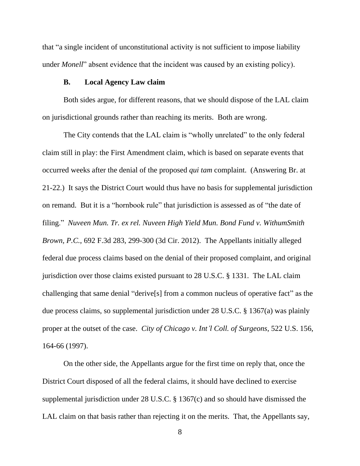that "a single incident of unconstitutional activity is not sufficient to impose liability under *Monell*" absent evidence that the incident was caused by an existing policy).

### **B. Local Agency Law claim**

Both sides argue, for different reasons, that we should dispose of the LAL claim on jurisdictional grounds rather than reaching its merits. Both are wrong.

The City contends that the LAL claim is "wholly unrelated" to the only federal claim still in play: the First Amendment claim, which is based on separate events that occurred weeks after the denial of the proposed *qui tam* complaint. (Answering Br. at 21-22.) It says the District Court would thus have no basis for supplemental jurisdiction on remand. But it is a "hornbook rule" that jurisdiction is assessed as of "the date of filing." *Nuveen Mun. Tr. ex rel. Nuveen High Yield Mun. Bond Fund v. WithumSmith Brown, P.C.*, 692 F.3d 283, 299-300 (3d Cir. 2012). The Appellants initially alleged federal due process claims based on the denial of their proposed complaint, and original jurisdiction over those claims existed pursuant to 28 U.S.C. § 1331. The LAL claim challenging that same denial "derive[s] from a common nucleus of operative fact" as the due process claims, so supplemental jurisdiction under 28 U.S.C. § 1367(a) was plainly proper at the outset of the case. *City of Chicago v. Int'l Coll. of Surgeons*, 522 U.S. 156, 164-66 (1997).

On the other side, the Appellants argue for the first time on reply that, once the District Court disposed of all the federal claims, it should have declined to exercise supplemental jurisdiction under 28 U.S.C. § 1367(c) and so should have dismissed the LAL claim on that basis rather than rejecting it on the merits. That, the Appellants say,

<sup>8</sup>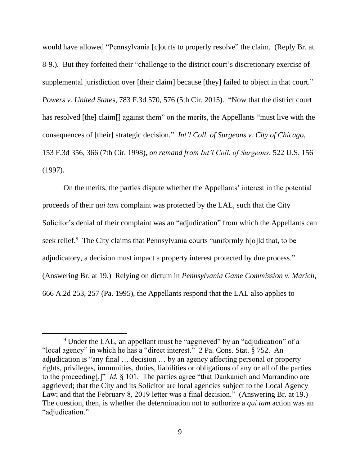would have allowed "Pennsylvania [c]ourts to properly resolve" the claim. (Reply Br. at 8-9.). But they forfeited their "challenge to the district court's discretionary exercise of supplemental jurisdiction over [their claim] because [they] failed to object in that court." *Powers v. United State*s, 783 F.3d 570, 576 (5th Cir. 2015). "Now that the district court has resolved [the] claim[] against them" on the merits, the Appellants "must live with the consequences of [their] strategic decision." *Int'l Coll. of Surgeons v. City of Chicago*, 153 F.3d 356, 366 (7th Cir. 1998), *on remand from Int'l Coll. of Surgeons*, 522 U.S. 156 (1997).

On the merits, the parties dispute whether the Appellants' interest in the potential proceeds of their *qui tam* complaint was protected by the LAL, such that the City Solicitor's denial of their complaint was an "adjudication" from which the Appellants can seek relief.<sup>9</sup> The City claims that Pennsylvania courts "uniformly h[o]ld that, to be adjudicatory, a decision must impact a property interest protected by due process." (Answering Br. at 19.) Relying on dictum in *Pennsylvania Game Commission v. Marich*, 666 A.2d 253, 257 (Pa. 1995), the Appellants respond that the LAL also applies to

<sup>9</sup> Under the LAL, an appellant must be "aggrieved" by an "adjudication" of a "local agency" in which he has a "direct interest." 2 Pa. Cons. Stat. § 752. An adjudication is "any final … decision … by an agency affecting personal or property rights, privileges, immunities, duties, liabilities or obligations of any or all of the parties to the proceeding[.]" *Id.* § 101. The parties agree "that Dankanich and Marrandino are aggrieved; that the City and its Solicitor are local agencies subject to the Local Agency Law; and that the February 8, 2019 letter was a final decision." (Answering Br. at 19.) The question, then, is whether the determination not to authorize a *qui tam* action was an "adjudication."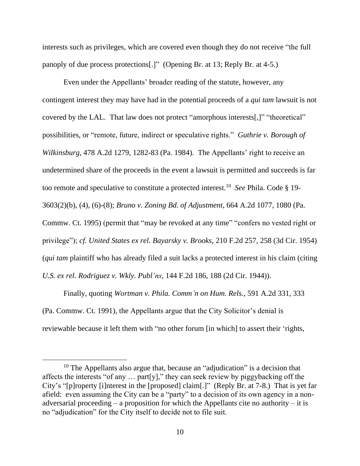interests such as privileges, which are covered even though they do not receive "the full panoply of due process protections[.]" (Opening Br. at 13; Reply Br. at 4-5.)

Even under the Appellants' broader reading of the statute, however, any contingent interest they may have had in the potential proceeds of a *qui tam* lawsuit is not covered by the LAL. That law does not protect "amorphous interests[,]" "theoretical" possibilities, or "remote, future, indirect or speculative rights." *Guthrie v. Borough of Wilkinsburg*, 478 A.2d 1279, 1282-83 (Pa. 1984). The Appellants' right to receive an undetermined share of the proceeds in the event a lawsuit is permitted and succeeds is far too remote and speculative to constitute a protected interest. 10 *See* Phila. Code § 19- 3603(2)(b), (4), (6)-(8); *Bruno v. Zoning Bd. of Adjustment*, 664 A.2d 1077, 1080 (Pa. Commw. Ct. 1995) (permit that "may be revoked at any time" "confers no vested right or privilege"); *cf. United States ex rel. Bayarsky v. Brooks*, 210 F.2d 257, 258 (3d Cir. 1954) (*qui tam* plaintiff who has already filed a suit lacks a protected interest in his claim (citing *U.S. ex rel. Rodriguez v. Wkly. Publ'ns*, 144 F.2d 186, 188 (2d Cir. 1944)).

Finally, quoting *Wortman v. Phila. Comm'n on Hum. Rels.*, 591 A.2d 331, 333 (Pa. Commw. Ct. 1991), the Appellants argue that the City Solicitor's denial is reviewable because it left them with "no other forum [in which] to assert their 'rights,

<sup>&</sup>lt;sup>10</sup> The Appellants also argue that, because an "adjudication" is a decision that affects the interests "of any … part[y]," they can seek review by piggybacking off the City's "[p]roperty [i]nterest in the [proposed] claim[.]" (Reply Br. at 7-8.) That is yet far afield: even assuming the City can be a "party" to a decision of its own agency in a nonadversarial proceeding – a proposition for which the Appellants cite no authority – it is no "adjudication" for the City itself to decide not to file suit.